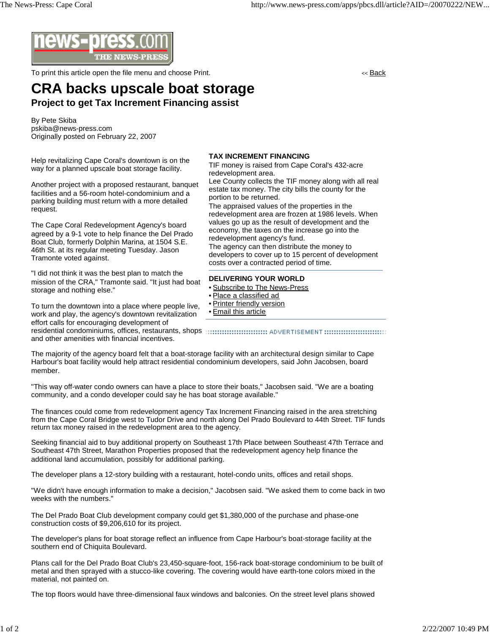

To print this article open the file menu and choose Print. The state of the state of the state of the state of the state of the state of the state of the state of the state of the state of the state of the state of the sta

## **CRA backs upscale boat storage Project to get Tax Increment Financing assist**

By Pete Skiba pskiba@news-press.com Originally posted on February 22, 2007

Help revitalizing Cape Coral's downtown is on the way for a planned upscale boat storage facility.

Another project with a proposed restaurant, banquet facilities and a 56-room hotel-condominium and a parking building must return with a more detailed request.

The Cape Coral Redevelopment Agency's board agreed by a 9-1 vote to help finance the Del Prado Boat Club, formerly Dolphin Marina, at 1504 S.E. 46th St. at its regular meeting Tuesday. Jason Tramonte voted against.

"I did not think it was the best plan to match the mission of the CRA," Tramonte said. "It just had boat storage and nothing else."

To turn the downtown into a place where people live, work and play, the agency's downtown revitalization effort calls for encouraging development of

**TAX INCREMENT FINANCING**

TIF money is raised from Cape Coral's 432-acre redevelopment area.

Lee County collects the TIF money along with all real estate tax money. The city bills the county for the portion to be returned.

The appraised values of the properties in the redevelopment area are frozen at 1986 levels. When values go up as the result of development and the economy, the taxes on the increase go into the redevelopment agency's fund.

The agency can then distribute the money to developers to cover up to 15 percent of development costs over a contracted period of time.

## **DELIVERING YOUR WORLD**

- Subscribe to The News-Press
- Place a classified ad
- Printer friendly version
- Email this article

residential condominiums, offices, restaurants, shops and other amenities with financial incentives.

The majority of the agency board felt that a boat-storage facility with an architectural design similar to Cape Harbour's boat facility would help attract residential condominium developers, said John Jacobsen, board member.

"This way off-water condo owners can have a place to store their boats," Jacobsen said. "We are a boating community, and a condo developer could say he has boat storage available."

The finances could come from redevelopment agency Tax Increment Financing raised in the area stretching from the Cape Coral Bridge west to Tudor Drive and north along Del Prado Boulevard to 44th Street. TIF funds return tax money raised in the redevelopment area to the agency.

Seeking financial aid to buy additional property on Southeast 17th Place between Southeast 47th Terrace and Southeast 47th Street, Marathon Properties proposed that the redevelopment agency help finance the additional land accumulation, possibly for additional parking.

The developer plans a 12-story building with a restaurant, hotel-condo units, offices and retail shops.

"We didn't have enough information to make a decision," Jacobsen said. "We asked them to come back in two weeks with the numbers."

The Del Prado Boat Club development company could get \$1,380,000 of the purchase and phase-one construction costs of \$9,206,610 for its project.

The developer's plans for boat storage reflect an influence from Cape Harbour's boat-storage facility at the southern end of Chiquita Boulevard.

Plans call for the Del Prado Boat Club's 23,450-square-foot, 156-rack boat-storage condominium to be built of metal and then sprayed with a stucco-like covering. The covering would have earth-tone colors mixed in the material, not painted on.

The top floors would have three-dimensional faux windows and balconies. On the street level plans showed